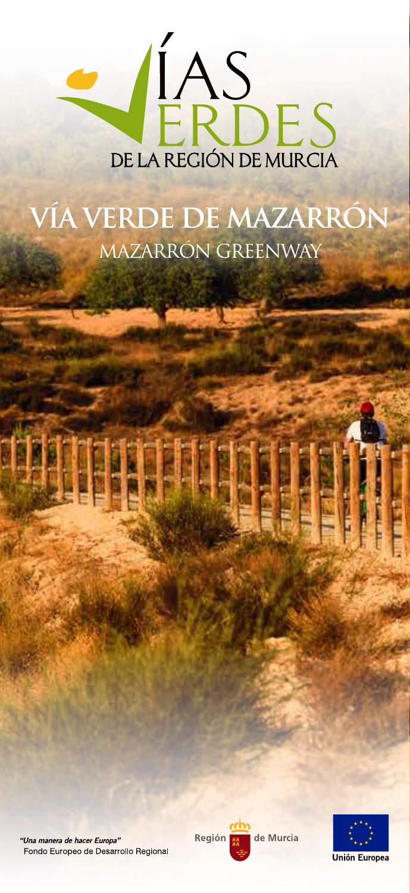

# VÍA VERDE DE MAZARRÓN MAZARRÓN GREENWAY

"Una manera de hacer Europa" Fondo Europeo de Desarrollo Regional Región de Murcia

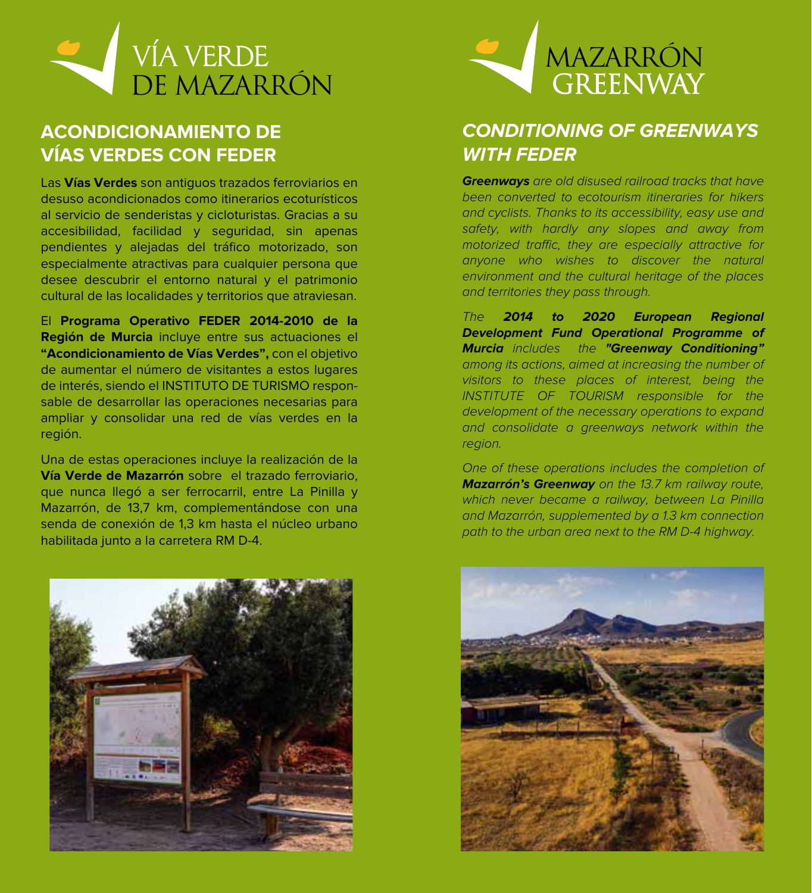

## **ACONDICIONAMIENTO DE VÍAS VERDES CON FEDER**

Las **Vías Verdes** son antiguos trazados ferroviarios en desuso acondicionados como itinerarios ecoturísticos al servicio de senderistas y cicloturistas. Gracias a su accesibilidad, facilidad y seguridad, sin apenas pendientes y alejadas del tráfico motorizado, son especialmente atractivas para cualquier persona que desee descubrir el entorno natural y el patrimonio cultural de las localidades y territorios que atraviesan.

El **Programa Operativo FEDER 2014-2010 de la Región de Murcia** incluye entre sus actuaciones el **"Acondicionamiento de Vías Verdes",** con el objetivo de aumentar el número de visitantes a estos lugares de interés, siendo el INSTITUTO DE TURISMO responsable de desarrollar las operaciones necesarias para ampliar y consolidar una red de vías verdes en la región.

Una de estas operaciones incluye la realización de la **Vía Verde de Mazarrón** sobre el trazado ferroviario, que nunca llegó a ser ferrocarril, entre La Pinilla y Mazarrón, de 13,7 km, complementándose con una senda de conexión de 1,3 km hasta el núcleo urbano habilitada junto a la carretera RM D-4.





## **CONDITIONING OF GREENWAYS WITH FEDER**

**Greenways** are old disused railroad tracks that have been converted to ecotourism itineraries for hikers and cyclists. Thanks to its accessibility, easy use and safety, with hardly any slopes and away from motorized traffic, they are especially attractive for anyone who wishes to discover the natural environment and the cultural heritage of the places and territories they pass through.

The **2014 to 2020 European Regional Development Fund Operational Programme of Murcia** includes the **"Greenway Conditioning"** among its actions, aimed at increasing the number of visitors to these places of interest, being the INSTITUTE OF TOURISM responsible for the development of the necessary operations to expand and consolidate a greenways network within the region.

One of these operations includes the completion of **Mazarrón's Greenway** on the 13.7 km railway route, which never became a railway, between La Pinilla and Mazarrón, supplemented by a 1.3 km connection path to the urban area next to the RM D-4 highway.

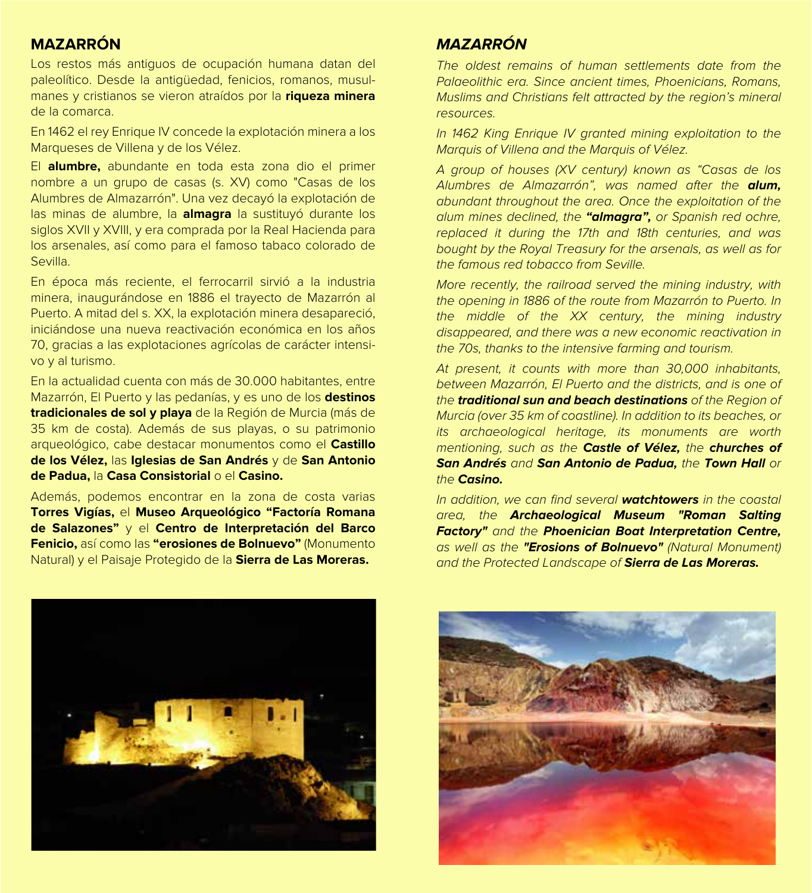#### **MAZARRÓN**

Los restos más antiguos de ocupación humana datan del paleolítico. Desde la antigüedad, fenicios, romanos, musulmanes y cristianos se vieron atraídos por la **riqueza minera** de la comarca.

En 1462 el rey Enrique IV concede la explotación minera a los Marqueses de Villena y de los Vélez.

El **alumbre,** abundante en toda esta zona dio el primer nombre a un grupo de casas (s. XV) como "Casas de los Alumbres de Almazarrón". Una vez decayó la explotación de las minas de alumbre, la **almagra** la sustituyó durante los siglos XVII y XVIII, y era comprada por la Real Hacienda para los arsenales, así como para el famoso tabaco colorado de Sevilla.

En época más reciente, el ferrocarril sirvió a la industria minera, inaugurándose en 1886 el trayecto de Mazarrón al Puerto. A mitad del s. XX, la explotación minera desapareció, iniciándose una nueva reactivación económica en los años 70, gracias a las explotaciones agrícolas de carácter intensivo y al turismo.

En la actualidad cuenta con más de 30.000 habitantes, entre Mazarrón, El Puerto y las pedanías, y es uno de los **destinos tradicionales de sol y playa** de la Región de Murcia (más de 35 km de costa). Además de sus playas, o su patrimonio arqueológico, cabe destacar monumentos como el **Castillo de los Vélez,** las **Iglesias de San Andrés** y de **San Antonio de Padua,** la **Casa Consistorial** o el **Casino.**

Además, podemos encontrar en la zona de costa varias **Torres Vigías,** el **Museo Arqueológico "Factoría Romana de Salazones"** y el **Centro de Interpretación del Barco Fenicio,** así como las **"erosiones de Bolnuevo"** (Monumento Natural) y el Paisaje Protegido de la **Sierra de Las Moreras.**

## **MAZARRÓN**

The oldest remains of human settlements date from the Palaeolithic era. Since ancient times, Phoenicians, Romans, Muslims and Christians felt attracted by the region's mineral resources.

In 1462 King Enrique IV granted mining exploitation to the Marquis of Villena and the Marquis of Vélez.

A group of houses (XV century) known as "Casas de los Alumbres de Almazarrón", was named after the **alum,**  abundant throughout the area. Once the exploitation of the alum mines declined, the **"almagra",** or Spanish red ochre, replaced it during the 17th and 18th centuries, and was bought by the Royal Treasury for the arsenals, as well as for the famous red tobacco from Seville.

More recently, the railroad served the mining industry, with the opening in 1886 of the route from Mazarrón to Puerto. In the middle of the XX century, the mining industry disappeared, and there was a new economic reactivation in the 70s, thanks to the intensive farming and tourism.

At present, it counts with more than 30,000 inhabitants, between Mazarrón, El Puerto and the districts, and is one of the **traditional sun and beach destinations** of the Region of Murcia (over 35 km of coastline). In addition to its beaches, or its archaeological heritage, its monuments are worth mentioning, such as the **Castle of Vélez,** the **churches of San Andrés** and **San Antonio de Padua,** the **Town Hall** or the **Casino.**

In addition, we can find several **watchtowers** in the coastal area, the **Archaeological Museum "Roman Salting Factory"** and the **Phoenician Boat Interpretation Centre,**  as well as the **"Erosions of Bolnuevo"** (Natural Monument) and the Protected Landscape of **Sierra de Las Moreras.**



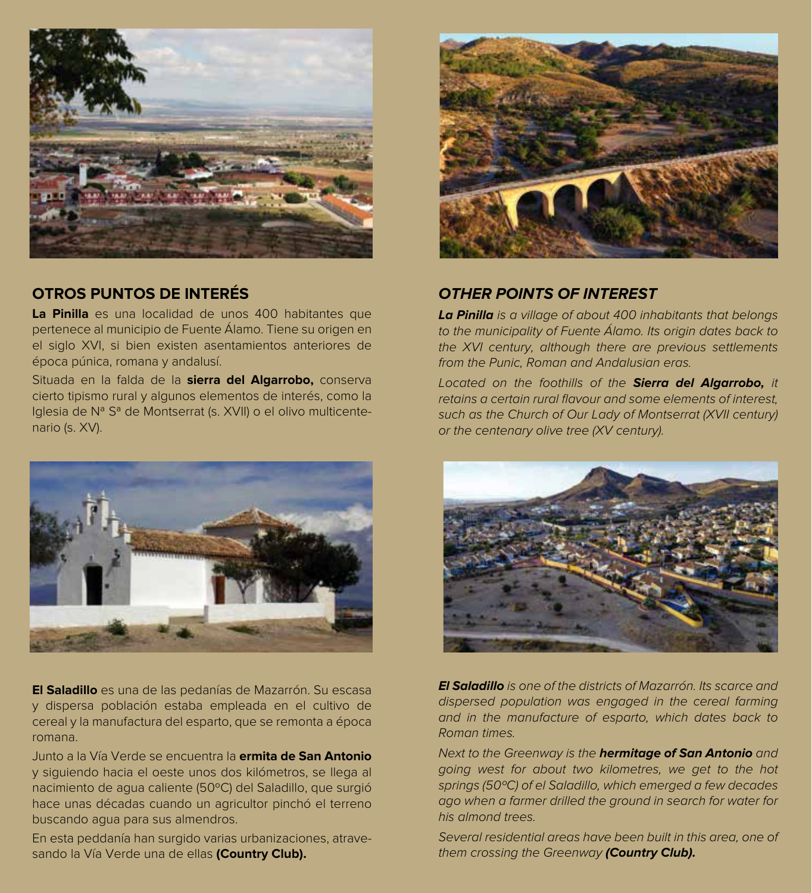

### **OTROS PUNTOS DE INTERÉS**

**La Pinilla** es una localidad de unos 400 habitantes que pertenece al municipio de Fuente Álamo. Tiene su origen en el siglo XVI, si bien existen asentamientos anteriores de época púnica, romana y andalusí.

Situada en la falda de la **sierra del Algarrobo,** conserva cierto tipismo rural y algunos elementos de interés, como la Iglesia de Nª Sª de Montserrat (s. XVII) o el olivo multicentenario (s. XV).



**El Saladillo** es una de las pedanías de Mazarrón. Su escasa y dispersa población estaba empleada en el cultivo de cereal y la manufactura del esparto, que se remonta a época romana.

Junto a la Vía Verde se encuentra la **ermita de San Antonio**  y siguiendo hacia el oeste unos dos kilómetros, se llega al nacimiento de agua caliente (50ºC) del Saladillo, que surgió hace unas décadas cuando un agricultor pinchó el terreno buscando agua para sus almendros.

En esta peddanía han surgido varias urbanizaciones, atravesando la Vía Verde una de ellas **(Country Club).**



#### **OTHER POINTS OF INTEREST**

**La Pinilla** is a village of about 400 inhabitants that belongs to the municipality of Fuente Álamo. Its origin dates back to the XVI century, although there are previous settlements from the Punic, Roman and Andalusian eras.

Located on the foothills of the **Sierra del Algarrobo,** it retains a certain rural flavour and some elements of interest, such as the Church of Our Lady of Montserrat (XVII century) or the centenary olive tree (XV century).



**El Saladillo** is one of the districts of Mazarrón. Its scarce and dispersed population was engaged in the cereal farming and in the manufacture of esparto, which dates back to Roman times.

Next to the Greenway is the **hermitage of San Antonio** and going west for about two kilometres, we get to the hot springs (50ºC) of el Saladillo, which emerged a few decades ago when a farmer drilled the ground in search for water for his almond trees.

Several residential areas have been built in this area, one of them crossing the Greenway **(Country Club).**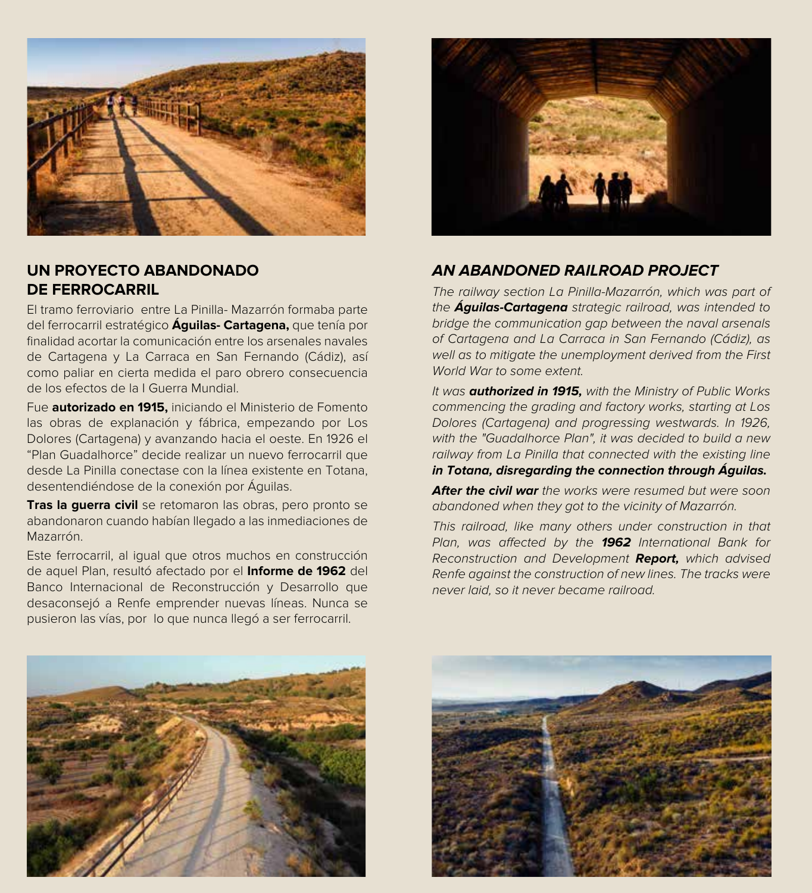

#### **UN PROYECTO ABANDONADO DE FERROCARRIL**

El tramo ferroviario entre La Pinilla- Mazarrón formaba parte del ferrocarril estratégico **Águilas- Cartagena,** que tenía por finalidad acortar la comunicación entre los arsenales navales de Cartagena y La Carraca en San Fernando (Cádiz), así como paliar en cierta medida el paro obrero consecuencia de los efectos de la I Guerra Mundial.

Fue **autorizado en 1915,** iniciando el Ministerio de Fomento las obras de explanación y fábrica, empezando por Los Dolores (Cartagena) y avanzando hacia el oeste. En 1926 el "Plan Guadalhorce" decide realizar un nuevo ferrocarril que desde La Pinilla conectase con la línea existente en Totana, desentendiéndose de la conexión por Águilas.

**Tras la guerra civil** se retomaron las obras, pero pronto se abandonaron cuando habían llegado a las inmediaciones de Mazarrón.

Este ferrocarril, al igual que otros muchos en construcción de aquel Plan, resultó afectado por el **Informe de 1962** del Banco Internacional de Reconstrucción y Desarrollo que desaconsejó a Renfe emprender nuevas líneas. Nunca se pusieron las vías, por lo que nunca llegó a ser ferrocarril.



#### **AN ABANDONED RAILROAD PROJECT**

The railway section La Pinilla-Mazarrón, which was part of the **Águilas-Cartagena** strategic railroad, was intended to bridge the communication gap between the naval arsenals of Cartagena and La Carraca in San Fernando (Cádiz), as well as to mitigate the unemployment derived from the First World War to some extent.

It was **authorized in 1915,** with the Ministry of Public Works commencing the grading and factory works, starting at Los Dolores (Cartagena) and progressing westwards. In 1926, with the "Guadalhorce Plan", it was decided to build a new railway from La Pinilla that connected with the existing line **in Totana, disregarding the connection through Águilas.**

**After the civil war** the works were resumed but were soon abandoned when they got to the vicinity of Mazarrón.

This railroad, like many others under construction in that Plan, was affected by the **1962** International Bank for Reconstruction and Development **Report,** which advised Renfe against the construction of new lines. The tracks were never laid, so it never became railroad.



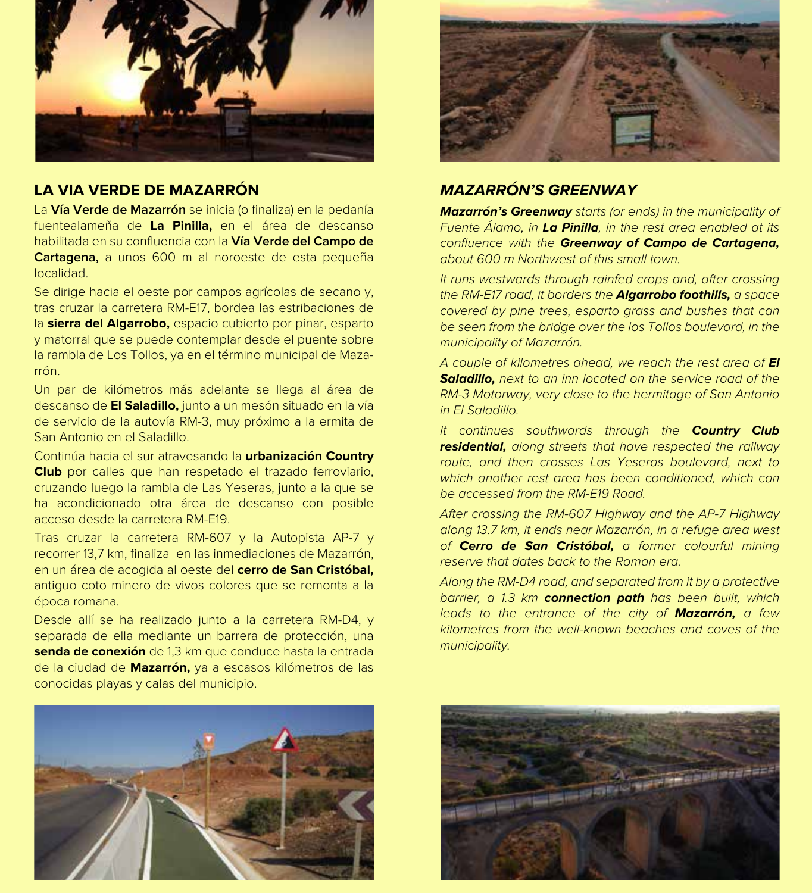

#### **LA VIA VERDE DE MAZARRÓN**

La **Vía Verde de Mazarrón** se inicia (o finaliza) en la pedanía fuentealameña de **La Pinilla,** en el área de descanso habilitada en su confluencia con la **Vía Verde del Campo de Cartagena,** a unos 600 m al noroeste de esta pequeña localidad.

Se dirige hacia el oeste por campos agrícolas de secano y, tras cruzar la carretera RM-E17, bordea las estribaciones de la **sierra del Algarrobo,** espacio cubierto por pinar, esparto y matorral que se puede contemplar desde el puente sobre la rambla de Los Tollos, ya en el término municipal de Mazarrón.

Un par de kilómetros más adelante se llega al área de descanso de **El Saladillo,** junto a un mesón situado en la vía de servicio de la autovía RM-3, muy próximo a la ermita de San Antonio en el Saladillo.

Continúa hacia el sur atravesando la **urbanización Country Club** por calles que han respetado el trazado ferroviario, cruzando luego la rambla de Las Yeseras, junto a la que se ha acondicionado otra área de descanso con posible acceso desde la carretera RM-E19.

Tras cruzar la carretera RM-607 y la Autopista AP-7 y recorrer 13,7 km, finaliza en las inmediaciones de Mazarrón, en un área de acogida al oeste del **cerro de San Cristóbal,**  antiguo coto minero de vivos colores que se remonta a la época romana.

Desde allí se ha realizado junto a la carretera RM-D4, y separada de ella mediante un barrera de protección, una **senda de conexión** de 1,3 km que conduce hasta la entrada de la ciudad de **Mazarrón,** ya a escasos kilómetros de las conocidas playas y calas del municipio.





#### **MAZARRÓN'S GREENWAY**

**Mazarrón's Greenway** starts (or ends) in the municipality of Fuente Álamo, in **La Pinilla**, in the rest area enabled at its confluence with the **Greenway of Campo de Cartagena,**  about 600 m Northwest of this small town.

It runs westwards through rainfed crops and, after crossing the RM-E17 road, it borders the **Algarrobo foothills,** a space covered by pine trees, esparto grass and bushes that can be seen from the bridge over the los Tollos boulevard, in the municipality of Mazarrón.

A couple of kilometres ahead, we reach the rest area of **El Saladillo,** next to an inn located on the service road of the RM-3 Motorway, very close to the hermitage of San Antonio in El Saladillo.

It continues southwards through the **Country Club residential,** along streets that have respected the railway route, and then crosses Las Yeseras boulevard, next to which another rest area has been conditioned, which can be accessed from the RM-E19 Road.

After crossing the RM-607 Highway and the AP-7 Highway along 13.7 km, it ends near Mazarrón, in a refuge area west of **Cerro de San Cristóbal,** a former colourful mining reserve that dates back to the Roman era.

Along the RM-D4 road, and separated from it by a protective barrier, a 1.3 km **connection path** has been built, which leads to the entrance of the city of **Mazarrón,** a few kilometres from the well-known beaches and coves of the municipality.

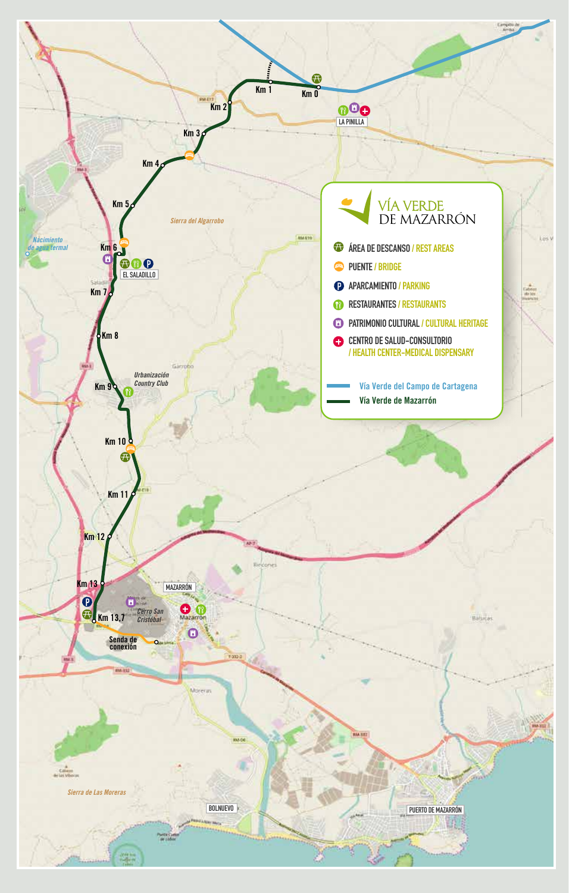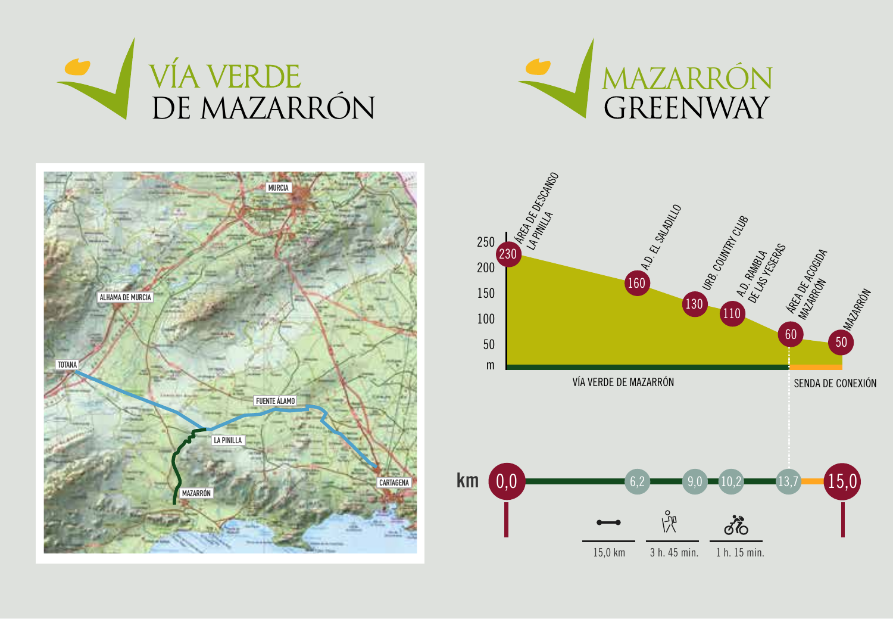